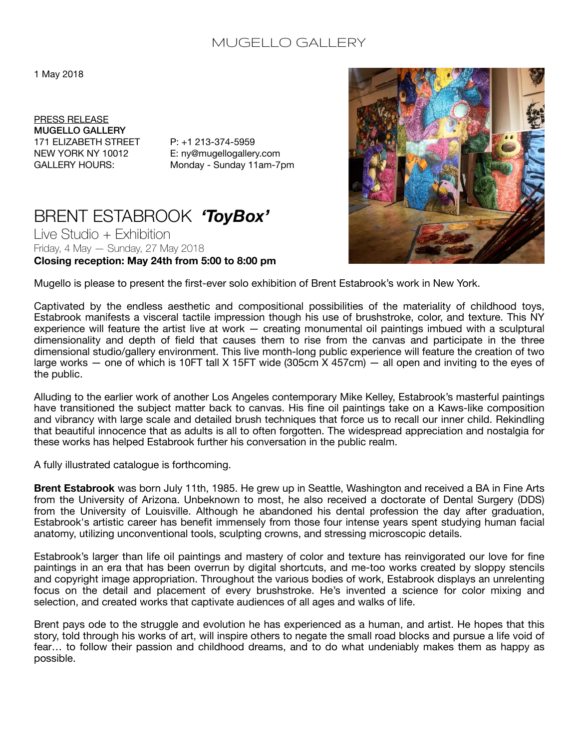## MUGELLO GALLERY

## 1 May 2018

PRESS RELEASE MUGELLO GALLERY 171 ELIZABETH STREET P: +1 213-374-5959

NEW YORK NY 10012 E: ny@mugellogallery.com GALLERY HOURS: Monday - Sunday 11am-7pm

## BRENT ESTABROOK *'ToyBox'*

Live Studio + Exhibition Friday, 4 May — Sunday, 27 May 2018 **Closing reception: May 24th from 5:00 to 8:00 pm** 



Mugello is please to present the first-ever solo exhibition of Brent Estabrook's work in New York.

Captivated by the endless aesthetic and compositional possibilities of the materiality of childhood toys, Estabrook manifests a visceral tactile impression though his use of brushstroke, color, and texture. This NY experience will feature the artist live at work — creating monumental oil paintings imbued with a sculptural dimensionality and depth of field that causes them to rise from the canvas and participate in the three dimensional studio/gallery environment. This live month-long public experience will feature the creation of two large works — one of which is 10FT tall X 15FT wide (305cm X 457cm) — all open and inviting to the eyes of the public.

Alluding to the earlier work of another Los Angeles contemporary Mike Kelley, Estabrook's masterful paintings have transitioned the subject matter back to canvas. His fine oil paintings take on a Kaws-like composition and vibrancy with large scale and detailed brush techniques that force us to recall our inner child. Rekindling that beautiful innocence that as adults is all to often forgotten. The widespread appreciation and nostalgia for these works has helped Estabrook further his conversation in the public realm.

A fully illustrated catalogue is forthcoming.

**Brent Estabrook** was born July 11th, 1985. He grew up in Seattle, Washington and received a BA in Fine Arts from the University of Arizona. Unbeknown to most, he also received a doctorate of Dental Surgery (DDS) from the University of Louisville. Although he abandoned his dental profession the day after graduation, Estabrook's artistic career has benefit immensely from those four intense years spent studying human facial anatomy, utilizing unconventional tools, sculpting crowns, and stressing microscopic details.

Estabrook's larger than life oil paintings and mastery of color and texture has reinvigorated our love for fine paintings in an era that has been overrun by digital shortcuts, and me-too works created by sloppy stencils and copyright image appropriation. Throughout the various bodies of work, Estabrook displays an unrelenting focus on the detail and placement of every brushstroke. He's invented a science for color mixing and selection, and created works that captivate audiences of all ages and walks of life.

Brent pays ode to the struggle and evolution he has experienced as a human, and artist. He hopes that this story, told through his works of art, will inspire others to negate the small road blocks and pursue a life void of fear… to follow their passion and childhood dreams, and to do what undeniably makes them as happy as possible.